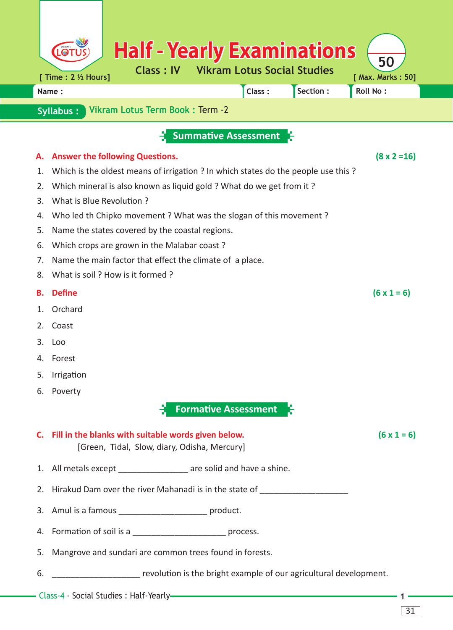|                                                     | <b>Half - Yearly Examinations</b><br>$\odot$                                                            |                         |  |  |  |  |  |  |  |  |  |  |
|-----------------------------------------------------|---------------------------------------------------------------------------------------------------------|-------------------------|--|--|--|--|--|--|--|--|--|--|
|                                                     | <b>Vikram Lotus Social Studies</b><br><b>Class: IV</b><br>[ Time : 2 1/2 Hours]                         | 50<br>[ Max. Marks: 50] |  |  |  |  |  |  |  |  |  |  |
|                                                     | Section:<br>Class:<br>Name:                                                                             | <b>Roll No:</b>         |  |  |  |  |  |  |  |  |  |  |
| Vikram Lotus Term Book: Term -2<br><b>Syllabus:</b> |                                                                                                         |                         |  |  |  |  |  |  |  |  |  |  |
|                                                     |                                                                                                         |                         |  |  |  |  |  |  |  |  |  |  |
|                                                     | <b>Summative Assessment</b>                                                                             |                         |  |  |  |  |  |  |  |  |  |  |
| А.                                                  | <b>Answer the following Questions.</b>                                                                  | $(8 \times 2 = 16)$     |  |  |  |  |  |  |  |  |  |  |
| 1.                                                  | Which is the oldest means of irrigation ? In which states do the people use this ?                      |                         |  |  |  |  |  |  |  |  |  |  |
| 2.                                                  | Which mineral is also known as liquid gold ? What do we get from it ?                                   |                         |  |  |  |  |  |  |  |  |  |  |
| 3.                                                  | What is Blue Revolution?                                                                                |                         |  |  |  |  |  |  |  |  |  |  |
| 4.                                                  | Who led th Chipko movement? What was the slogan of this movement?                                       |                         |  |  |  |  |  |  |  |  |  |  |
| 5.<br>6.                                            | Name the states covered by the coastal regions.                                                         |                         |  |  |  |  |  |  |  |  |  |  |
| 7.                                                  | Which crops are grown in the Malabar coast?<br>Name the main factor that effect the climate of a place. |                         |  |  |  |  |  |  |  |  |  |  |
| 8.                                                  | What is soil ? How is it formed ?                                                                       |                         |  |  |  |  |  |  |  |  |  |  |
| В.                                                  | <b>Define</b>                                                                                           | $(6 \times 1 = 6)$      |  |  |  |  |  |  |  |  |  |  |
| 1.                                                  | Orchard                                                                                                 |                         |  |  |  |  |  |  |  |  |  |  |
| 2.                                                  | Coast                                                                                                   |                         |  |  |  |  |  |  |  |  |  |  |
| З.                                                  | Loo                                                                                                     |                         |  |  |  |  |  |  |  |  |  |  |
| 4.                                                  | Forest                                                                                                  |                         |  |  |  |  |  |  |  |  |  |  |
| 5.                                                  | Irrigation                                                                                              |                         |  |  |  |  |  |  |  |  |  |  |
| 6.                                                  | Poverty                                                                                                 |                         |  |  |  |  |  |  |  |  |  |  |
|                                                     | <b>Formative Assessment</b>                                                                             |                         |  |  |  |  |  |  |  |  |  |  |
|                                                     | C. Fill in the blanks with suitable words given below.<br>[Green, Tidal, Slow, diary, Odisha, Mercury]  | $(6 \times 1 = 6)$      |  |  |  |  |  |  |  |  |  |  |
|                                                     | 1. All metals except __________________ are solid and have a shine.                                     |                         |  |  |  |  |  |  |  |  |  |  |
|                                                     | 2. Hirakud Dam over the river Mahanadi is in the state of ______________________                        |                         |  |  |  |  |  |  |  |  |  |  |
|                                                     | 3. Amul is a famous ____________________________ product.                                               |                         |  |  |  |  |  |  |  |  |  |  |
|                                                     | 4. Formation of soil is a _____________________________ process.                                        |                         |  |  |  |  |  |  |  |  |  |  |
| 5.                                                  | Mangrove and sundari are common trees found in forests.                                                 |                         |  |  |  |  |  |  |  |  |  |  |
| 6.                                                  | revolution is the bright example of our agricultural development.                                       |                         |  |  |  |  |  |  |  |  |  |  |
|                                                     |                                                                                                         |                         |  |  |  |  |  |  |  |  |  |  |